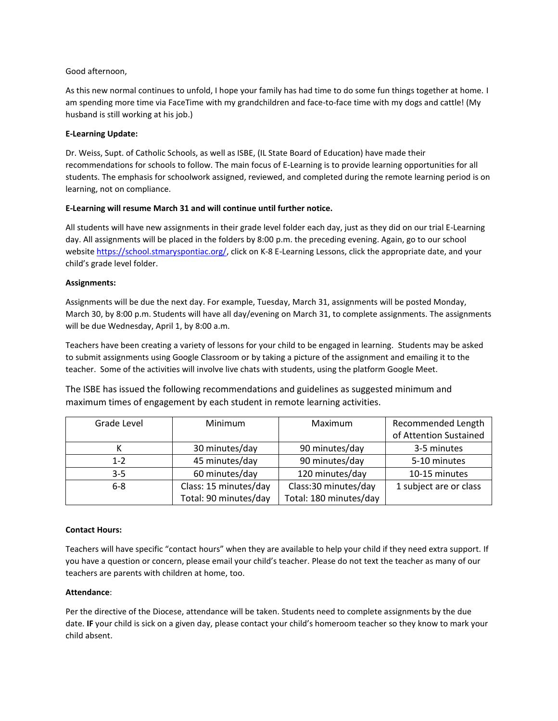# Good afternoon,

As this new normal continues to unfold, I hope your family has had time to do some fun things together at home. I am spending more time via FaceTime with my grandchildren and face-to-face time with my dogs and cattle! (My husband is still working at his job.)

# **E-Learning Update:**

Dr. Weiss, Supt. of Catholic Schools, as well as ISBE, (IL State Board of Education) have made their recommendations for schools to follow. The main focus of E-Learning is to provide learning opportunities for all students. The emphasis for schoolwork assigned, reviewed, and completed during the remote learning period is on learning, not on compliance.

# **E-Learning will resume March 31 and will continue until further notice.**

All students will have new assignments in their grade level folder each day, just as they did on our trial E-Learning day. All assignments will be placed in the folders by 8:00 p.m. the preceding evening. Again, go to our school website [https://school.stmaryspontiac.org/,](https://school.stmaryspontiac.org/) click on K-8 E-Learning Lessons, click the appropriate date, and your child's grade level folder.

### **Assignments:**

Assignments will be due the next day. For example, Tuesday, March 31, assignments will be posted Monday, March 30, by 8:00 p.m. Students will have all day/evening on March 31, to complete assignments. The assignments will be due Wednesday, April 1, by 8:00 a.m.

Teachers have been creating a variety of lessons for your child to be engaged in learning. Students may be asked to submit assignments using Google Classroom or by taking a picture of the assignment and emailing it to the teacher. Some of the activities will involve live chats with students, using the platform Google Meet.

The ISBE has issued the following recommendations and guidelines as suggested minimum and maximum times of engagement by each student in remote learning activities.

| Grade Level | Minimum               | Maximum                | Recommended Length     |
|-------------|-----------------------|------------------------|------------------------|
|             |                       |                        | of Attention Sustained |
|             | 30 minutes/day        | 90 minutes/day         | 3-5 minutes            |
| $1 - 2$     | 45 minutes/day        | 90 minutes/day         | 5-10 minutes           |
| $3 - 5$     | 60 minutes/day        | 120 minutes/day        | 10-15 minutes          |
| $6 - 8$     | Class: 15 minutes/day | Class:30 minutes/day   | 1 subject are or class |
|             | Total: 90 minutes/day | Total: 180 minutes/day |                        |

#### **Contact Hours:**

Teachers will have specific "contact hours" when they are available to help your child if they need extra support. If you have a question or concern, please email your child's teacher. Please do not text the teacher as many of our teachers are parents with children at home, too.

#### **Attendance**:

Per the directive of the Diocese, attendance will be taken. Students need to complete assignments by the due date. **IF** your child is sick on a given day, please contact your child's homeroom teacher so they know to mark your child absent.